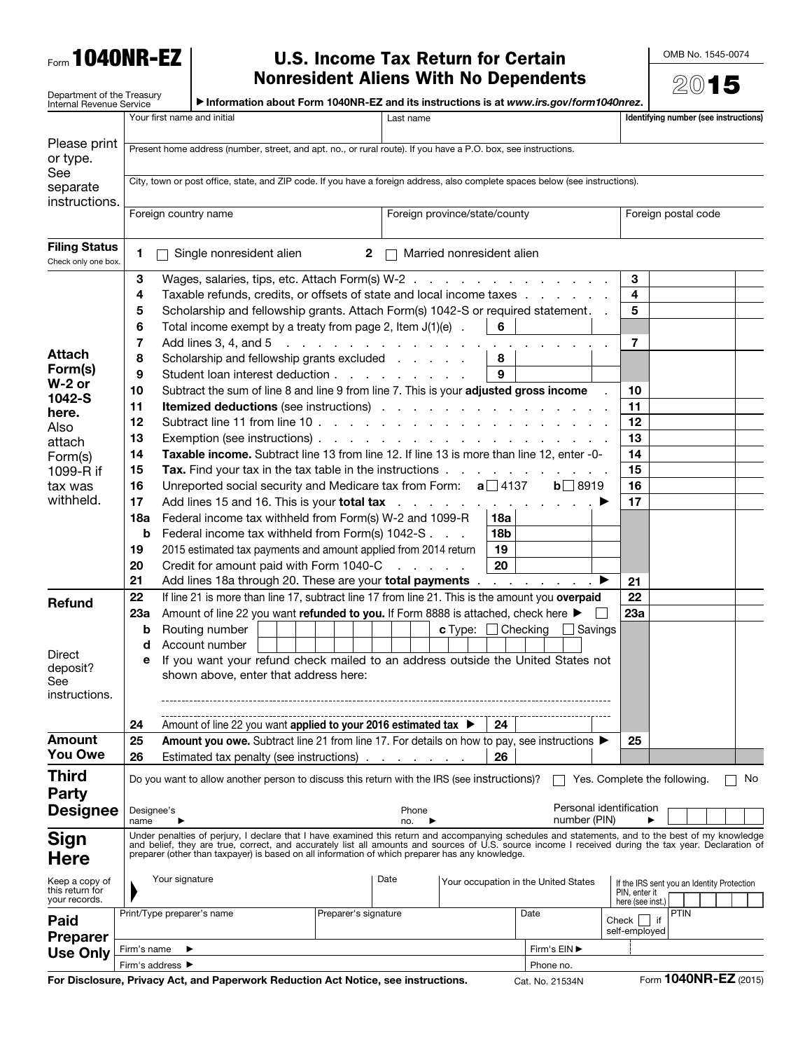Form 1040NR-EZ

## U.S. Income Tax Return for Certain Nonresident Aliens With No Dependents

OMB No. 1545-0074

|                                                                                                                           |                                                                                                                                                                                                                                                                                                                                                                                                              | <b>Nonresident Aliens With No Dependents</b>                                                                                                                                                                                                                                                                                                                                                                                                                                                                                                                                                                                                                                                                                                                                                                                                                                                                                                   |                                                                                       |                                              |                                             |                |                                                                  | 2015                                                                            |  |  |
|---------------------------------------------------------------------------------------------------------------------------|--------------------------------------------------------------------------------------------------------------------------------------------------------------------------------------------------------------------------------------------------------------------------------------------------------------------------------------------------------------------------------------------------------------|------------------------------------------------------------------------------------------------------------------------------------------------------------------------------------------------------------------------------------------------------------------------------------------------------------------------------------------------------------------------------------------------------------------------------------------------------------------------------------------------------------------------------------------------------------------------------------------------------------------------------------------------------------------------------------------------------------------------------------------------------------------------------------------------------------------------------------------------------------------------------------------------------------------------------------------------|---------------------------------------------------------------------------------------|----------------------------------------------|---------------------------------------------|----------------|------------------------------------------------------------------|---------------------------------------------------------------------------------|--|--|
| Department of the Treasury<br>Internal Revenue Service                                                                    |                                                                                                                                                                                                                                                                                                                                                                                                              |                                                                                                                                                                                                                                                                                                                                                                                                                                                                                                                                                                                                                                                                                                                                                                                                                                                                                                                                                | Information about Form 1040NR-EZ and its instructions is at www.irs.gov/form1040nrez. |                                              |                                             |                |                                                                  |                                                                                 |  |  |
|                                                                                                                           |                                                                                                                                                                                                                                                                                                                                                                                                              | Your first name and initial                                                                                                                                                                                                                                                                                                                                                                                                                                                                                                                                                                                                                                                                                                                                                                                                                                                                                                                    |                                                                                       | Last name                                    |                                             |                |                                                                  | Identifying number (see instructions)                                           |  |  |
| Please print<br>or type.                                                                                                  |                                                                                                                                                                                                                                                                                                                                                                                                              | Present home address (number, street, and apt. no., or rural route). If you have a P.O. box, see instructions.                                                                                                                                                                                                                                                                                                                                                                                                                                                                                                                                                                                                                                                                                                                                                                                                                                 |                                                                                       |                                              |                                             |                |                                                                  |                                                                                 |  |  |
| See<br>separate<br>instructions.                                                                                          |                                                                                                                                                                                                                                                                                                                                                                                                              | City, town or post office, state, and ZIP code. If you have a foreign address, also complete spaces below (see instructions).                                                                                                                                                                                                                                                                                                                                                                                                                                                                                                                                                                                                                                                                                                                                                                                                                  |                                                                                       |                                              |                                             |                |                                                                  |                                                                                 |  |  |
|                                                                                                                           | Foreign country name                                                                                                                                                                                                                                                                                                                                                                                         |                                                                                                                                                                                                                                                                                                                                                                                                                                                                                                                                                                                                                                                                                                                                                                                                                                                                                                                                                |                                                                                       | Foreign province/state/county                |                                             |                |                                                                  | Foreign postal code                                                             |  |  |
| <b>Filing Status</b><br>Check only one box.                                                                               | 1.                                                                                                                                                                                                                                                                                                                                                                                                           | Single nonresident alien                                                                                                                                                                                                                                                                                                                                                                                                                                                                                                                                                                                                                                                                                                                                                                                                                                                                                                                       | $\mathbf{2}$                                                                          |                                              | Married nonresident alien                   |                |                                                                  |                                                                                 |  |  |
| <b>Attach</b><br>Form(s)<br>$W-2$ or<br>1042-S<br>here.<br>Also<br>attach<br>Form(s)<br>1099-R if<br>tax was<br>withheld. | 3<br>4<br>5<br>6<br>7<br>8<br>9<br>10<br>11<br>12<br>13<br>14<br>15<br>16<br>17<br>18a<br>b<br>19                                                                                                                                                                                                                                                                                                            | Wages, salaries, tips, etc. Attach Form(s) W-2<br>Taxable refunds, credits, or offsets of state and local income taxes<br>Scholarship and fellowship grants. Attach Form(s) 1042-S or required statement.<br>Total income exempt by a treaty from page 2, Item $J(1)(e)$ .<br>Add lines 3, 4, and 5<br>Scholarship and fellowship grants excluded<br>Student loan interest deduction<br>Subtract the sum of line 8 and line 9 from line 7. This is your adjusted gross income<br>Taxable income. Subtract line 13 from line 12. If line 13 is more than line 12, enter -0-<br>Tax. Find your tax in the tax table in the instructions<br>Unreported social security and Medicare tax from Form: $a$ 137<br>Add lines 15 and 16. This is your <b>total tax</b><br>Federal income tax withheld from Form(s) W-2 and 1099-R<br>Federal income tax withheld from Form(s) 1042-S<br>2015 estimated tax payments and amount applied from 2014 return | the contract of the contract of the contract of                                       |                                              | 6<br>8<br>9<br>18a<br>18 <sub>b</sub><br>19 | $b \Box 8919$  | 3<br>4<br>5<br>7<br>10<br>11<br>12<br>13<br>14<br>15<br>16<br>17 |                                                                                 |  |  |
|                                                                                                                           | 20<br>21                                                                                                                                                                                                                                                                                                                                                                                                     | Credit for amount paid with Form 1040-C<br>Add lines 18a through 20. These are your total payments                                                                                                                                                                                                                                                                                                                                                                                                                                                                                                                                                                                                                                                                                                                                                                                                                                             |                                                                                       | and the company                              | 20                                          |                | ▶<br>21                                                          |                                                                                 |  |  |
| <b>Refund</b><br>Direct<br>deposit?<br>See<br>instructions.                                                               | 22<br>23а<br>b<br>d<br>е                                                                                                                                                                                                                                                                                                                                                                                     | If line 21 is more than line 17, subtract line 17 from line 21. This is the amount you overpaid<br>Amount of line 22 you want refunded to you. If Form 8888 is attached, check here ▶<br>Routing number<br>Account number<br>If you want your refund check mailed to an address outside the United States not<br>shown above, enter that address here:                                                                                                                                                                                                                                                                                                                                                                                                                                                                                                                                                                                         |                                                                                       |                                              | <b>c</b> Type: $\Box$ Checking              | $\Box$ Savings | 22<br>23a                                                        |                                                                                 |  |  |
| <b>Amount</b>                                                                                                             | 24                                                                                                                                                                                                                                                                                                                                                                                                           | Amount of line 22 you want applied to your 2016 estimated tax ▶                                                                                                                                                                                                                                                                                                                                                                                                                                                                                                                                                                                                                                                                                                                                                                                                                                                                                |                                                                                       |                                              | 24                                          |                |                                                                  |                                                                                 |  |  |
| <b>You Owe</b>                                                                                                            | 25<br>26                                                                                                                                                                                                                                                                                                                                                                                                     | Amount you owe. Subtract line 21 from line 17. For details on how to pay, see instructions ▶<br>Estimated tax penalty (see instructions)                                                                                                                                                                                                                                                                                                                                                                                                                                                                                                                                                                                                                                                                                                                                                                                                       |                                                                                       |                                              | 26                                          |                | 25                                                               |                                                                                 |  |  |
| <b>Third</b><br><b>Party</b><br><b>Designee</b>                                                                           | Do you want to allow another person to discuss this return with the IRS (see instructions)?<br>Yes. Complete the following.<br>Personal identification<br>Phone<br>Designee's                                                                                                                                                                                                                                |                                                                                                                                                                                                                                                                                                                                                                                                                                                                                                                                                                                                                                                                                                                                                                                                                                                                                                                                                |                                                                                       |                                              |                                             |                |                                                                  | No                                                                              |  |  |
|                                                                                                                           | name                                                                                                                                                                                                                                                                                                                                                                                                         |                                                                                                                                                                                                                                                                                                                                                                                                                                                                                                                                                                                                                                                                                                                                                                                                                                                                                                                                                |                                                                                       | no.                                          |                                             | number (PIN)   |                                                                  |                                                                                 |  |  |
| <b>Sign</b><br><b>Here</b>                                                                                                | Under penalties of perjury, I declare that I have examined this return and accompanying schedules and statements, and to the best of my knowledge<br>and belief, they are true, correct, and accurately list all amounts and sources of U.S. source income I received during the tax year. Declaration of<br>preparer (other than taxpayer) is based on all information of which preparer has any knowledge. |                                                                                                                                                                                                                                                                                                                                                                                                                                                                                                                                                                                                                                                                                                                                                                                                                                                                                                                                                |                                                                                       |                                              |                                             |                |                                                                  |                                                                                 |  |  |
| Keep a copy of<br>this return for<br>your records.                                                                        |                                                                                                                                                                                                                                                                                                                                                                                                              | Your signature                                                                                                                                                                                                                                                                                                                                                                                                                                                                                                                                                                                                                                                                                                                                                                                                                                                                                                                                 |                                                                                       | Date<br>Your occupation in the United States |                                             |                |                                                                  | If the IRS sent you an Identity Protection<br>PIN, enter it<br>here (see inst.) |  |  |
| Paid<br><b>Preparer</b><br><b>Use Only</b>                                                                                |                                                                                                                                                                                                                                                                                                                                                                                                              | Print/Type preparer's name                                                                                                                                                                                                                                                                                                                                                                                                                                                                                                                                                                                                                                                                                                                                                                                                                                                                                                                     | Preparer's signature                                                                  |                                              |                                             | Date           | Check<br>self-employed                                           | <b>PTIN</b><br>$ $ if                                                           |  |  |
|                                                                                                                           | Firm's EIN ▶<br>Firm's name<br>Firm's address ▶<br>Phone no.                                                                                                                                                                                                                                                                                                                                                 |                                                                                                                                                                                                                                                                                                                                                                                                                                                                                                                                                                                                                                                                                                                                                                                                                                                                                                                                                |                                                                                       |                                              |                                             |                |                                                                  |                                                                                 |  |  |

For Disclosure, Privacy Act, and Paperwork Reduction Act Notice, see instructions. Cat. No. 21534N Form 1040NR-EZ (2015)